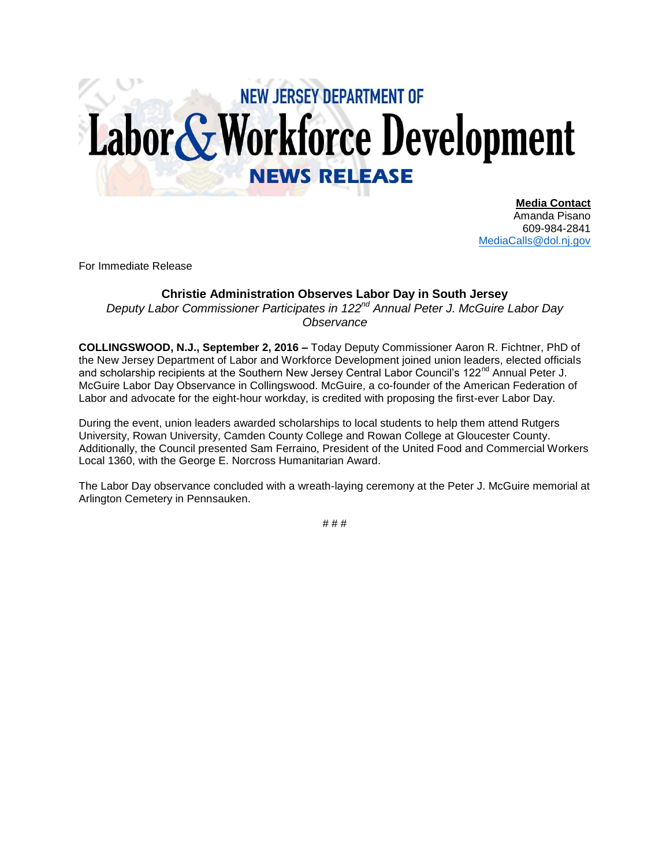## **NEW JERSEY DEPARTMENT OF** Labor & Workforce Development **NEWS RELEASE**

**Media Contact** Amanda Pisano 609-984-2841 [MediaCalls@dol.nj.gov](mailto:MediaCalls@dol.nj.gov)

For Immediate Release

## **Christie Administration Observes Labor Day in South Jersey**

*Deputy Labor Commissioner Participates in 122nd Annual Peter J. McGuire Labor Day Observance*

**COLLINGSWOOD, N.J., September 2, 2016 –** Today Deputy Commissioner Aaron R. Fichtner, PhD of the New Jersey Department of Labor and Workforce Development joined union leaders, elected officials and scholarship recipients at the Southern New Jersey Central Labor Council's 122<sup>nd</sup> Annual Peter J. McGuire Labor Day Observance in Collingswood. McGuire, a co-founder of the American Federation of Labor and advocate for the eight-hour workday, is credited with proposing the first-ever Labor Day.

During the event, union leaders awarded scholarships to local students to help them attend Rutgers University, Rowan University, Camden County College and Rowan College at Gloucester County. Additionally, the Council presented Sam Ferraino, President of the United Food and Commercial Workers Local 1360, with the George E. Norcross Humanitarian Award.

The Labor Day observance concluded with a wreath-laying ceremony at the Peter J. McGuire memorial at Arlington Cemetery in Pennsauken.

# # #